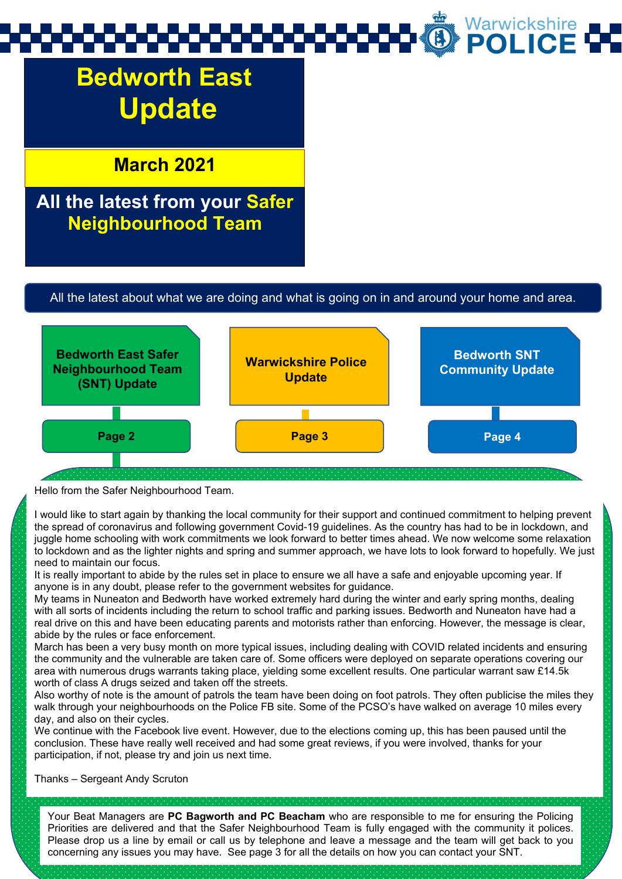# **Bedworth East Update**

### **March 2021**

### **All the latest from your Safer Neighbourhood Team**

#### All the latest about what we are doing and what is going on in and around your home and area.



#### Hello from the Safer Neighbourhood Team.

I would like to start again by thanking the local community for their support and continued commitment to helping prevent the spread of coronavirus and following government Covid-19 guidelines. As the country has had to be in lockdown, and juggle home schooling with work commitments we look forward to better times ahead. We now welcome some relaxation to lockdown and as the lighter nights and spring and summer approach, we have lots to look forward to hopefully. We just need to maintain our focus.

It is really important to abide by the rules set in place to ensure we all have a safe and enjoyable upcoming year. If anyone is in any doubt, please refer to the government websites for guidance.

My teams in Nuneaton and Bedworth have worked extremely hard during the winter and early spring months, dealing with all sorts of incidents including the return to school traffic and parking issues. Bedworth and Nuneaton have had a real drive on this and have been educating parents and motorists rather than enforcing. However, the message is clear, abide by the rules or face enforcement.

March has been a very busy month on more typical issues, including dealing with COVID related incidents and ensuring the community and the vulnerable are taken care of. Some officers were deployed on separate operations covering our area with numerous drugs warrants taking place, yielding some excellent results. One particular warrant saw £14.5k worth of class A drugs seized and taken off the streets.

Also worthy of note is the amount of patrols the team have been doing on foot patrols. They often publicise the miles they walk through your neighbourhoods on the Police FB site. Some of the PCSO's have walked on average 10 miles every day, and also on their cycles.

We continue with the Facebook live event. However, due to the elections coming up, this has been paused until the conclusion. These have really well received and had some great reviews, if you were involved, thanks for your participation, if not, please try and join us next time.

Thanks – Sergeant Andy Scruton

Your Beat Managers are **PC Bagworth and PC Beacham** who are responsible to me for ensuring the Policing Priorities are delivered and that the Safer Neighbourhood Team is fully engaged with the community it polices. Please drop us a line by email or call us by telephone and leave a message and the team will get back to you concerning any issues you may have. See page 3 for all the details on how you can contact your SNT.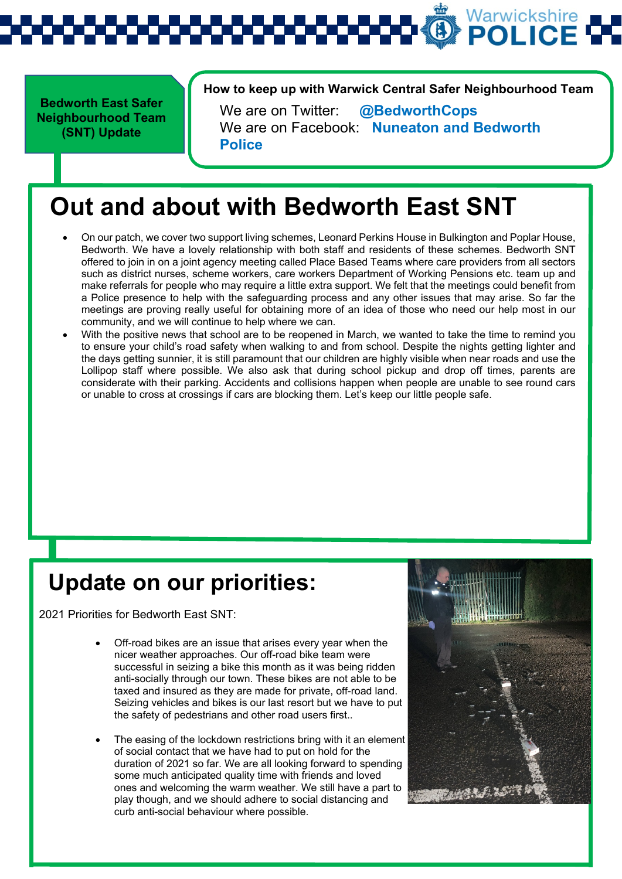**Bedworth East Safer Neighbourhood Team (SNT) Update** 

**How to keep up with Warwick Central Safer Neighbourhood Team** 

We are on Twitter: **@BedworthCops** We are on Facebook: **Nuneaton and Bedworth Police**

## **Out and about with Bedworth East SNT**

- On our patch, we cover two support living schemes, Leonard Perkins House in Bulkington and Poplar House, Bedworth. We have a lovely relationship with both staff and residents of these schemes. Bedworth SNT offered to join in on a joint agency meeting called Place Based Teams where care providers from all sectors such as district nurses, scheme workers, care workers Department of Working Pensions etc. team up and make referrals for people who may require a little extra support. We felt that the meetings could benefit from a Police presence to help with the safeguarding process and any other issues that may arise. So far the meetings are proving really useful for obtaining more of an idea of those who need our help most in our community, and we will continue to help where we can.
- With the positive news that school are to be reopened in March, we wanted to take the time to remind you to ensure your child's road safety when walking to and from school. Despite the nights getting lighter and the days getting sunnier, it is still paramount that our children are highly visible when near roads and use the Lollipop staff where possible. We also ask that during school pickup and drop off times, parents are considerate with their parking. Accidents and collisions happen when people are unable to see round cars or unable to cross at crossings if cars are blocking them. Let's keep our little people safe.

## **Update on our priorities:**

2021 Priorities for Bedworth East SNT:

- Off-road bikes are an issue that arises every year when the nicer weather approaches. Our off-road bike team were successful in seizing a bike this month as it was being ridden anti-socially through our town. These bikes are not able to be taxed and insured as they are made for private, off-road land. Seizing vehicles and bikes is our last resort but we have to put the safety of pedestrians and other road users first..
- The easing of the lockdown restrictions bring with it an element of social contact that we have had to put on hold for the duration of 2021 so far. We are all looking forward to spending some much anticipated quality time with friends and loved ones and welcoming the warm weather. We still have a part to play though, and we should adhere to social distancing and curb anti-social behaviour where possible.

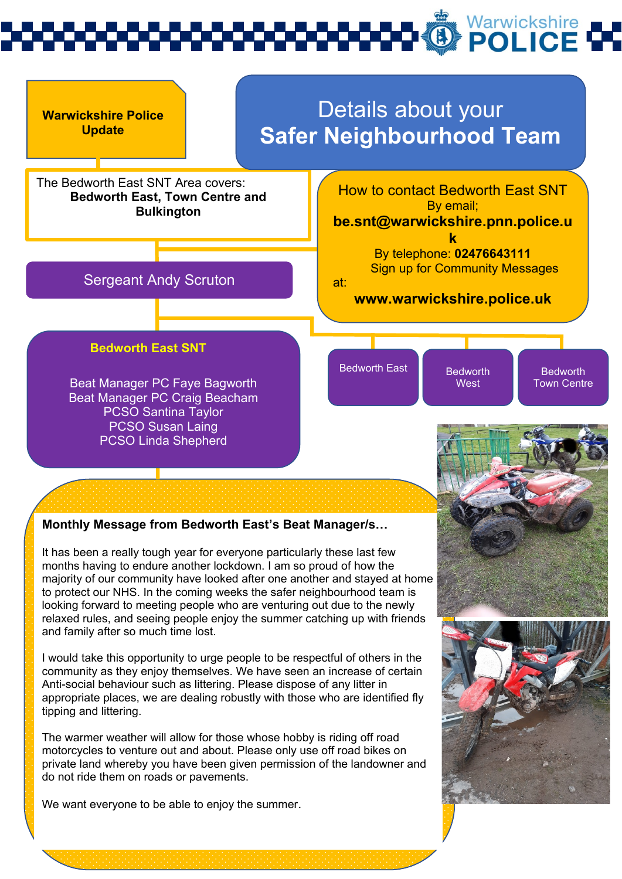

### **Monthly Message from Bedworth East's Beat Manager/s…**

It has been a really tough year for everyone particularly these last few months having to endure another lockdown. I am so proud of how the majority of our community have looked after one another and stayed at home to protect our NHS. In the coming weeks the safer neighbourhood team is looking forward to meeting people who are venturing out due to the newly relaxed rules, and seeing people enjoy the summer catching up with friends and family after so much time lost.

I would take this opportunity to urge people to be respectful of others in the community as they enjoy themselves. We have seen an increase of certain Anti-social behaviour such as littering. Please dispose of any litter in appropriate places, we are dealing robustly with those who are identified fly tipping and littering.

The warmer weather will allow for those whose hobby is riding off road motorcycles to venture out and about. Please only use off road bikes on private land whereby you have been given permission of the landowner and do not ride them on roads or pavements.

We want everyone to be able to enjoy the summer.

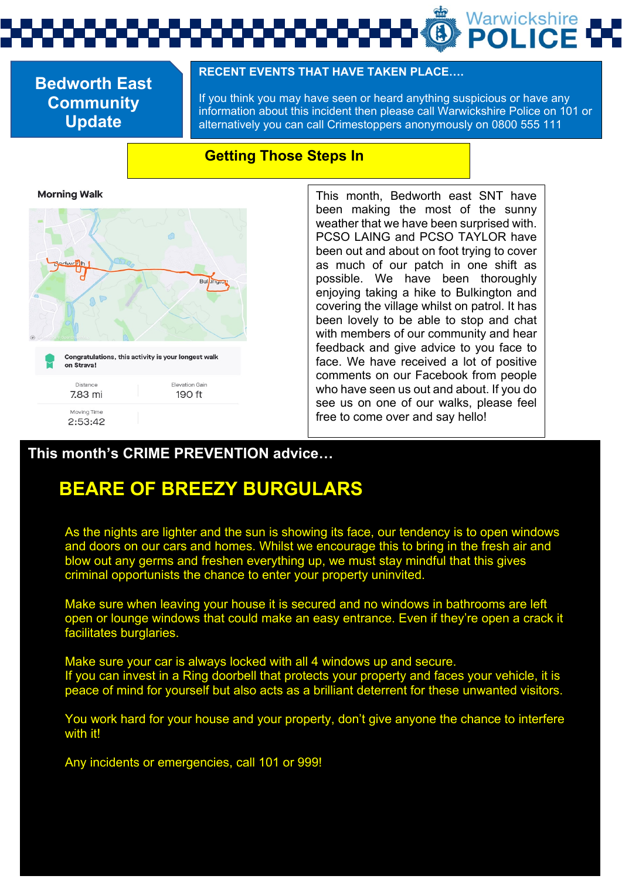### **Bedworth East Community Update**

#### **RECENT EVENTS THAT HAVE TAKEN PLACE….**

If you think you may have seen or heard anything suspicious or have any information about this incident then please call Warwickshire Police on 101 or alternatively you can call Crimestoppers anonymously on 0800 555 111

### **Getting Those Steps In**

**Morning Walk** 



This month, Bedworth east SNT have been making the most of the sunny weather that we have been surprised with. PCSO LAING and PCSO TAYLOR have been out and about on foot trying to cover as much of our patch in one shift as possible. We have been thoroughly enjoying taking a hike to Bulkington and covering the village whilst on patrol. It has been lovely to be able to stop and chat with members of our community and hear feedback and give advice to you face to face. We have received a lot of positive comments on our Facebook from people who have seen us out and about. If you do see us on one of our walks, please feel free to come over and say hello!

### **This month's CRIME PREVENTION advice…**

## **BEARE OF BREEZY BURGULARS**

As the nights are lighter and the sun is showing its face, our tendency is to open windows and doors on our cars and homes. Whilst we encourage this to bring in the fresh air and blow out any germs and freshen everything up, we must stay mindful that this gives criminal opportunists the chance to enter your property uninvited.

Make sure when leaving your house it is secured and no windows in bathrooms are left open or lounge windows that could make an easy entrance. Even if they're open a crack it facilitates burglaries.

Make sure your car is always locked with all 4 windows up and secure. If you can invest in a Ring doorbell that protects your property and faces your vehicle, it is peace of mind for yourself but also acts as a brilliant deterrent for these unwanted visitors.

You work hard for your house and your property, don't give anyone the chance to interfere with it!

Any incidents or emergencies, call 101 or 999!